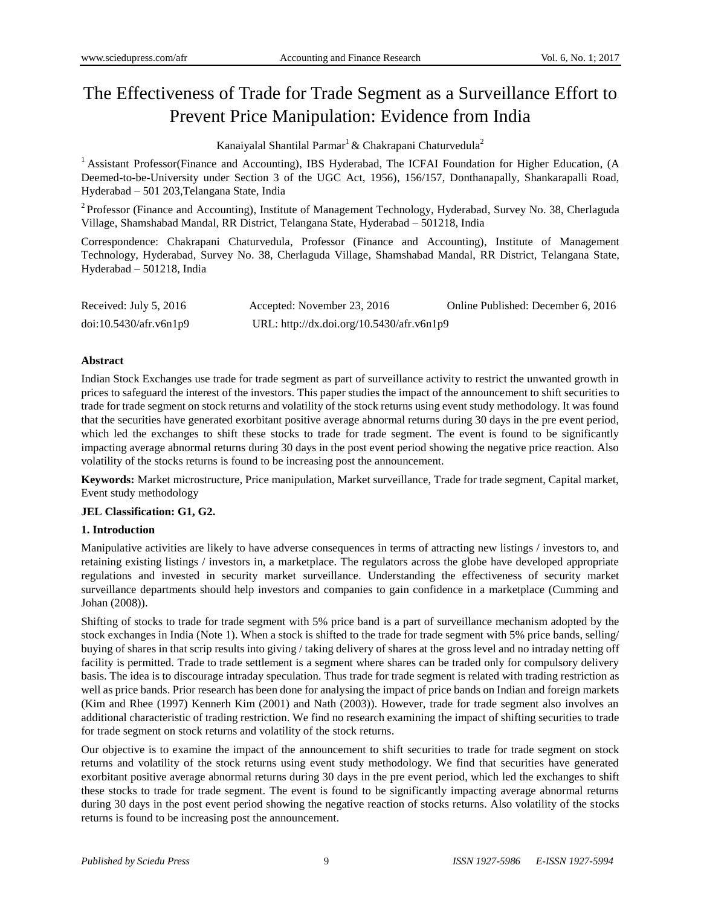# The Effectiveness of Trade for Trade Segment as a Surveillance Effort to Prevent Price Manipulation: Evidence from India

Kanaiyalal Shantilal Parmar<sup>1</sup> & Chakrapani Chaturvedula<sup>2</sup>

<sup>1</sup> Assistant Professor(Finance and Accounting), IBS Hyderabad, The ICFAI Foundation for Higher Education, (A Deemed-to-be-University under Section 3 of the UGC Act, 1956), 156/157, Donthanapally, Shankarapalli Road, Hyderabad – 501 203,Telangana State, India

<sup>2</sup> Professor (Finance and Accounting), Institute of Management Technology, Hyderabad, Survey No. 38, Cherlaguda Village, Shamshabad Mandal, RR District, Telangana State, Hyderabad – 501218, India

Correspondence: Chakrapani Chaturvedula, Professor (Finance and Accounting), Institute of Management Technology, Hyderabad, Survey No. 38, Cherlaguda Village, Shamshabad Mandal, RR District, Telangana State, Hyderabad – 501218, India

| Received: July 5, 2016 | Accepted: November 23, 2016               | Online Published: December 6, 2016 |
|------------------------|-------------------------------------------|------------------------------------|
| doi:10.5430/afr.v6n1p9 | URL: http://dx.doi.org/10.5430/afr.v6n1p9 |                                    |

# **Abstract**

Indian Stock Exchanges use trade for trade segment as part of surveillance activity to restrict the unwanted growth in prices to safeguard the interest of the investors. This paper studies the impact of the announcement to shift securities to trade for trade segment on stock returns and volatility of the stock returns using event study methodology. It was found that the securities have generated exorbitant positive average abnormal returns during 30 days in the pre event period, which led the exchanges to shift these stocks to trade for trade segment. The event is found to be significantly impacting average abnormal returns during 30 days in the post event period showing the negative price reaction. Also volatility of the stocks returns is found to be increasing post the announcement.

**Keywords:** Market microstructure, Price manipulation, Market surveillance, Trade for trade segment, Capital market, Event study methodology

## **JEL Classification: G1, G2.**

# **1. Introduction**

Manipulative activities are likely to have adverse consequences in terms of attracting new listings / investors to, and retaining existing listings / investors in, a marketplace. The regulators across the globe have developed appropriate regulations and invested in security market surveillance. Understanding the effectiveness of security market surveillance departments should help investors and companies to gain confidence in a marketplace (Cumming and Johan (2008)).

Shifting of stocks to trade for trade segment with 5% price band is a part of surveillance mechanism adopted by the stock exchanges in India (Note 1). When a stock is shifted to the trade for trade segment with 5% price bands, selling/ buying of shares in that scrip results into giving / taking delivery of shares at the gross level and no intraday netting off facility is permitted. Trade to trade settlement is a segment where shares can be traded only for compulsory delivery basis. The idea is to discourage intraday speculation. Thus trade for trade segment is related with trading restriction as well as price bands. Prior research has been done for analysing the impact of price bands on Indian and foreign markets (Kim and Rhee (1997) Kennerh Kim (2001) and Nath (2003)). However, trade for trade segment also involves an additional characteristic of trading restriction. We find no research examining the impact of shifting securities to trade for trade segment on stock returns and volatility of the stock returns.

Our objective is to examine the impact of the announcement to shift securities to trade for trade segment on stock returns and volatility of the stock returns using event study methodology. We find that securities have generated exorbitant positive average abnormal returns during 30 days in the pre event period, which led the exchanges to shift these stocks to trade for trade segment. The event is found to be significantly impacting average abnormal returns during 30 days in the post event period showing the negative reaction of stocks returns. Also volatility of the stocks returns is found to be increasing post the announcement.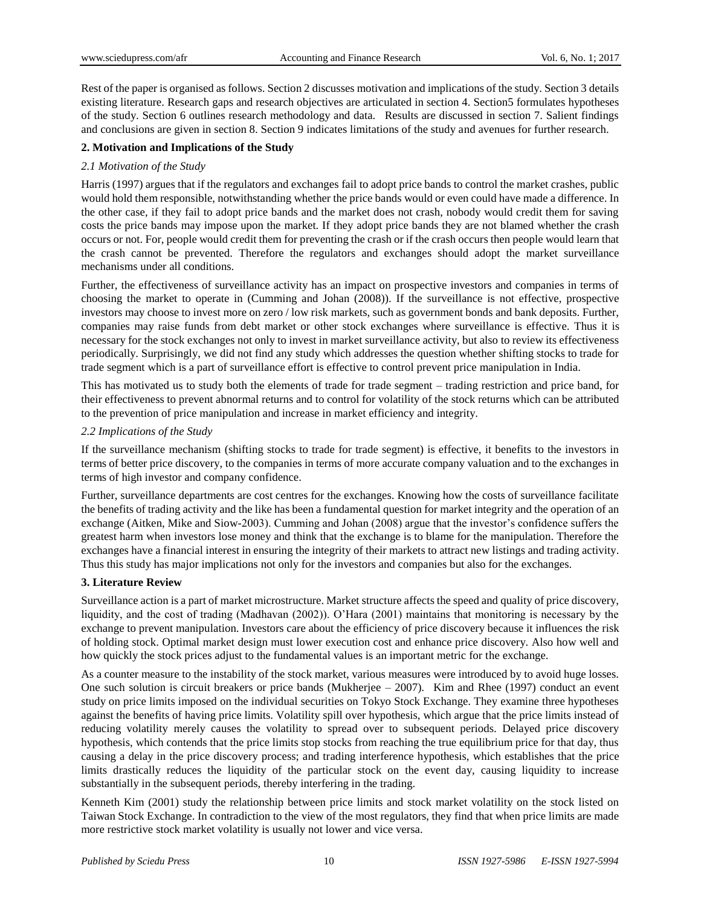Rest of the paper is organised as follows. Section 2 discusses motivation and implications of the study. Section 3 details existing literature. Research gaps and research objectives are articulated in section 4. Section5 formulates hypotheses of the study. Section 6 outlines research methodology and data. Results are discussed in section 7. Salient findings and conclusions are given in section 8. Section 9 indicates limitations of the study and avenues for further research.

# **2. Motivation and Implications of the Study**

# *2.1 Motivation of the Study*

Harris (1997) argues that if the regulators and exchanges fail to adopt price bands to control the market crashes, public would hold them responsible, notwithstanding whether the price bands would or even could have made a difference. In the other case, if they fail to adopt price bands and the market does not crash, nobody would credit them for saving costs the price bands may impose upon the market. If they adopt price bands they are not blamed whether the crash occurs or not. For, people would credit them for preventing the crash or if the crash occurs then people would learn that the crash cannot be prevented. Therefore the regulators and exchanges should adopt the market surveillance mechanisms under all conditions.

Further, the effectiveness of surveillance activity has an impact on prospective investors and companies in terms of choosing the market to operate in (Cumming and Johan (2008)). If the surveillance is not effective, prospective investors may choose to invest more on zero / low risk markets, such as government bonds and bank deposits. Further, companies may raise funds from debt market or other stock exchanges where surveillance is effective. Thus it is necessary for the stock exchanges not only to invest in market surveillance activity, but also to review its effectiveness periodically. Surprisingly, we did not find any study which addresses the question whether shifting stocks to trade for trade segment which is a part of surveillance effort is effective to control prevent price manipulation in India.

This has motivated us to study both the elements of trade for trade segment – trading restriction and price band, for their effectiveness to prevent abnormal returns and to control for volatility of the stock returns which can be attributed to the prevention of price manipulation and increase in market efficiency and integrity.

## *2.2 Implications of the Study*

If the surveillance mechanism (shifting stocks to trade for trade segment) is effective, it benefits to the investors in terms of better price discovery, to the companies in terms of more accurate company valuation and to the exchanges in terms of high investor and company confidence.

Further, surveillance departments are cost centres for the exchanges. Knowing how the costs of surveillance facilitate the benefits of trading activity and the like has been a fundamental question for market integrity and the operation of an exchange (Aitken, Mike and Siow-2003). Cumming and Johan (2008) argue that the investor's confidence suffers the greatest harm when investors lose money and think that the exchange is to blame for the manipulation. Therefore the exchanges have a financial interest in ensuring the integrity of their markets to attract new listings and trading activity. Thus this study has major implications not only for the investors and companies but also for the exchanges.

## **3. Literature Review**

Surveillance action is a part of market microstructure. Market structure affects the speed and quality of price discovery, liquidity, and the cost of trading (Madhavan (2002)). O'Hara (2001) maintains that monitoring is necessary by the exchange to prevent manipulation. Investors care about the efficiency of price discovery because it influences the risk of holding stock. Optimal market design must lower execution cost and enhance price discovery. Also how well and how quickly the stock prices adjust to the fundamental values is an important metric for the exchange.

As a counter measure to the instability of the stock market, various measures were introduced by to avoid huge losses. One such solution is circuit breakers or price bands (Mukherjee – 2007). Kim and Rhee (1997) conduct an event study on price limits imposed on the individual securities on Tokyo Stock Exchange. They examine three hypotheses against the benefits of having price limits. Volatility spill over hypothesis, which argue that the price limits instead of reducing volatility merely causes the volatility to spread over to subsequent periods. Delayed price discovery hypothesis, which contends that the price limits stop stocks from reaching the true equilibrium price for that day, thus causing a delay in the price discovery process; and trading interference hypothesis, which establishes that the price limits drastically reduces the liquidity of the particular stock on the event day, causing liquidity to increase substantially in the subsequent periods, thereby interfering in the trading.

Kenneth Kim (2001) study the relationship between price limits and stock market volatility on the stock listed on Taiwan Stock Exchange. In contradiction to the view of the most regulators, they find that when price limits are made more restrictive stock market volatility is usually not lower and vice versa.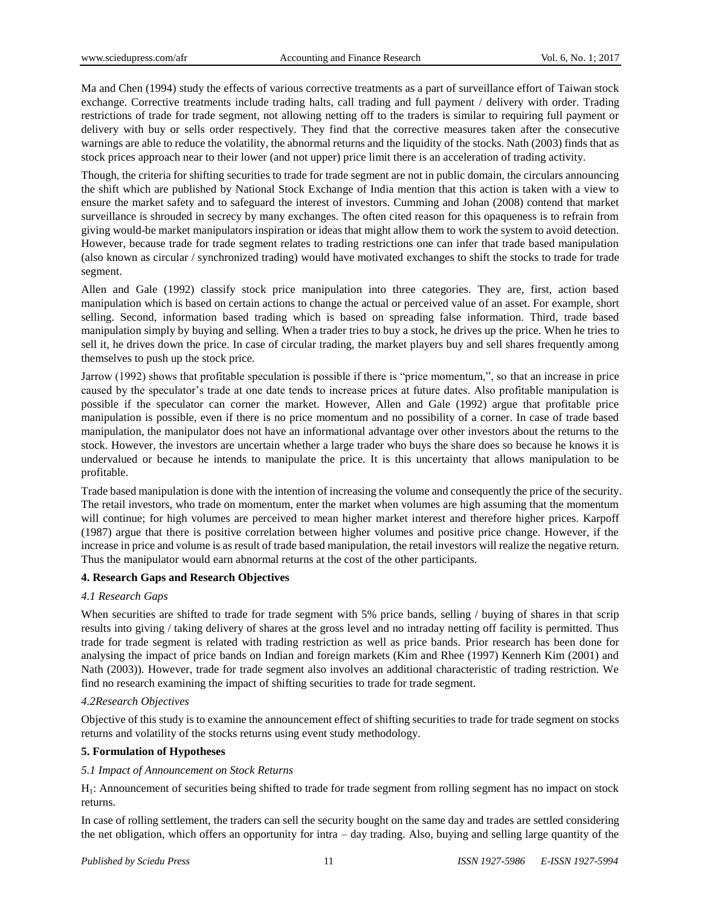Ma and Chen (1994) study the effects of various corrective treatments as a part of surveillance effort of Taiwan stock exchange. Corrective treatments include trading halts, call trading and full payment / delivery with order. Trading restrictions of trade for trade segment, not allowing netting off to the traders is similar to requiring full payment or delivery with buy or sells order respectively. They find that the corrective measures taken after the consecutive warnings are able to reduce the volatility, the abnormal returns and the liquidity of the stocks. Nath (2003) finds that as stock prices approach near to their lower (and not upper) price limit there is an acceleration of trading activity.

Though, the criteria for shifting securities to trade for trade segment are not in public domain, the circulars announcing the shift which are published by National Stock Exchange of India mention that this action is taken with a view to ensure the market safety and to safeguard the interest of investors. Cumming and Johan (2008) contend that market surveillance is shrouded in secrecy by many exchanges. The often cited reason for this opaqueness is to refrain from giving would-be market manipulators inspiration or ideas that might allow them to work the system to avoid detection. However, because trade for trade segment relates to trading restrictions one can infer that trade based manipulation (also known as circular / synchronized trading) would have motivated exchanges to shift the stocks to trade for trade segment.

Allen and Gale (1992) classify stock price manipulation into three categories. They are, first, action based manipulation which is based on certain actions to change the actual or perceived value of an asset. For example, short selling. Second, information based trading which is based on spreading false information. Third, trade based manipulation simply by buying and selling. When a trader tries to buy a stock, he drives up the price. When he tries to sell it, he drives down the price. In case of circular trading, the market players buy and sell shares frequently among themselves to push up the stock price.

Jarrow (1992) shows that profitable speculation is possible if there is "price momentum,", so that an increase in price caused by the speculator's trade at one date tends to increase prices at future dates. Also profitable manipulation is possible if the speculator can corner the market. However, Allen and Gale (1992) argue that profitable price manipulation is possible, even if there is no price momentum and no possibility of a corner. In case of trade based manipulation, the manipulator does not have an informational advantage over other investors about the returns to the stock. However, the investors are uncertain whether a large trader who buys the share does so because he knows it is undervalued or because he intends to manipulate the price. It is this uncertainty that allows manipulation to be profitable.

Trade based manipulation is done with the intention of increasing the volume and consequently the price of the security. The retail investors, who trade on momentum, enter the market when volumes are high assuming that the momentum will continue; for high volumes are perceived to mean higher market interest and therefore higher prices. Karpoff (1987) argue that there is positive correlation between higher volumes and positive price change. However, if the increase in price and volume is as result of trade based manipulation, the retail investors will realize the negative return. Thus the manipulator would earn abnormal returns at the cost of the other participants.

## **4. Research Gaps and Research Objectives**

## *4.1 Research Gaps*

When securities are shifted to trade for trade segment with 5% price bands, selling / buying of shares in that scrip results into giving / taking delivery of shares at the gross level and no intraday netting off facility is permitted. Thus trade for trade segment is related with trading restriction as well as price bands. Prior research has been done for analysing the impact of price bands on Indian and foreign markets (Kim and Rhee (1997) Kennerh Kim (2001) and Nath (2003)). However, trade for trade segment also involves an additional characteristic of trading restriction. We find no research examining the impact of shifting securities to trade for trade segment.

# *4.2Research Objectives*

Objective of this study is to examine the announcement effect of shifting securities to trade for trade segment on stocks returns and volatility of the stocks returns using event study methodology.

## **5. Formulation of Hypotheses**

## *5.1 Impact of Announcement on Stock Returns*

H1: Announcement of securities being shifted to trade for trade segment from rolling segment has no impact on stock returns.

In case of rolling settlement, the traders can sell the security bought on the same day and trades are settled considering the net obligation, which offers an opportunity for intra – day trading. Also, buying and selling large quantity of the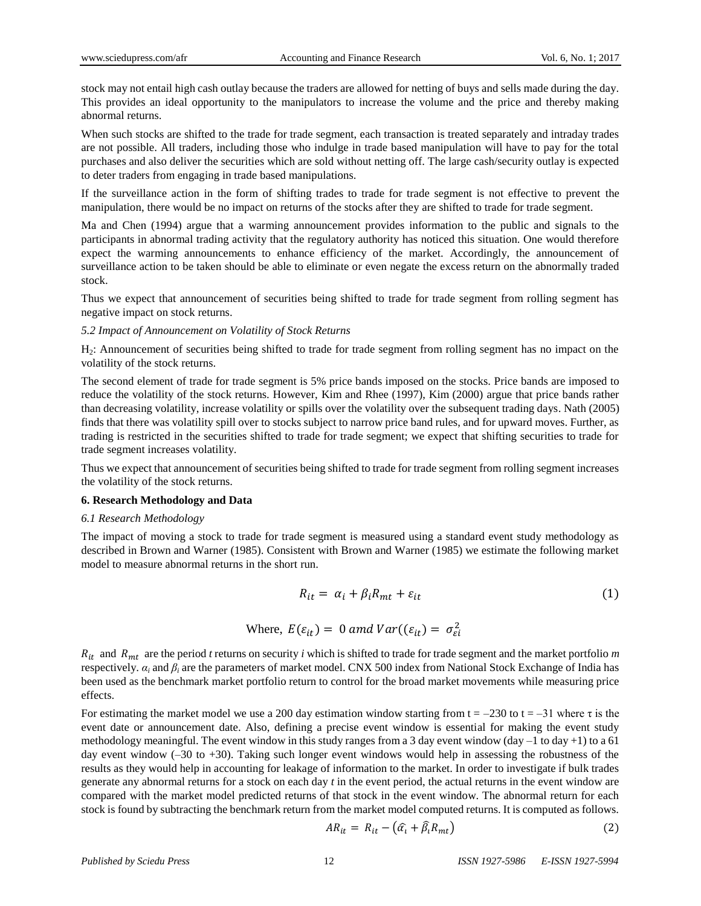stock may not entail high cash outlay because the traders are allowed for netting of buys and sells made during the day. This provides an ideal opportunity to the manipulators to increase the volume and the price and thereby making abnormal returns.

When such stocks are shifted to the trade for trade segment, each transaction is treated separately and intraday trades are not possible. All traders, including those who indulge in trade based manipulation will have to pay for the total purchases and also deliver the securities which are sold without netting off. The large cash/security outlay is expected to deter traders from engaging in trade based manipulations.

If the surveillance action in the form of shifting trades to trade for trade segment is not effective to prevent the manipulation, there would be no impact on returns of the stocks after they are shifted to trade for trade segment.

Ma and Chen (1994) argue that a warming announcement provides information to the public and signals to the participants in abnormal trading activity that the regulatory authority has noticed this situation. One would therefore expect the warming announcements to enhance efficiency of the market. Accordingly, the announcement of surveillance action to be taken should be able to eliminate or even negate the excess return on the abnormally traded stock.

Thus we expect that announcement of securities being shifted to trade for trade segment from rolling segment has negative impact on stock returns.

#### *5.2 Impact of Announcement on Volatility of Stock Returns*

H2: Announcement of securities being shifted to trade for trade segment from rolling segment has no impact on the volatility of the stock returns.

The second element of trade for trade segment is 5% price bands imposed on the stocks. Price bands are imposed to reduce the volatility of the stock returns. However, Kim and Rhee (1997), Kim (2000) argue that price bands rather than decreasing volatility, increase volatility or spills over the volatility over the subsequent trading days. Nath (2005) finds that there was volatility spill over to stocks subject to narrow price band rules, and for upward moves. Further, as trading is restricted in the securities shifted to trade for trade segment; we expect that shifting securities to trade for trade segment increases volatility.

Thus we expect that announcement of securities being shifted to trade for trade segment from rolling segment increases the volatility of the stock returns.

## **6. Research Methodology and Data**

## *6.1 Research Methodology*

The impact of moving a stock to trade for trade segment is measured using a standard event study methodology as described in Brown and Warner (1985). Consistent with Brown and Warner (1985) we estimate the following market model to measure abnormal returns in the short run.

$$
R_{it} = \alpha_i + \beta_i R_{mt} + \varepsilon_{it} \tag{1}
$$

Where, 
$$
E(\varepsilon_{it}) = 0
$$
 and  $Var((\varepsilon_{it}) = \sigma_{ei}^2$ 

 $R_{it}$  and  $R_{mt}$  are the period *t* returns on security *i* which is shifted to trade for trade segment and the market portfolio *m* respectively.  $α<sub>i</sub>$  and  $β<sub>i</sub>$  are the parameters of market model. CNX 500 index from National Stock Exchange of India has been used as the benchmark market portfolio return to control for the broad market movements while measuring price effects.

For estimating the market model we use a 200 day estimation window starting from  $t = -230$  to  $t = -31$  where  $\tau$  is the event date or announcement date. Also, defining a precise event window is essential for making the event study methodology meaningful. The event window in this study ranges from a 3 day event window (day –1 to day +1) to a 61 day event window (–30 to +30). Taking such longer event windows would help in assessing the robustness of the results as they would help in accounting for leakage of information to the market. In order to investigate if bulk trades generate any abnormal returns for a stock on each day *t* in the event period, the actual returns in the event window are compared with the market model predicted returns of that stock in the event window. The abnormal return for each stock is found by subtracting the benchmark return from the market model computed returns. It is computed as follows.

$$
AR_{it} = R_{it} - (\hat{\alpha}_i + \hat{\beta}_i R_{mt})
$$
\n(2)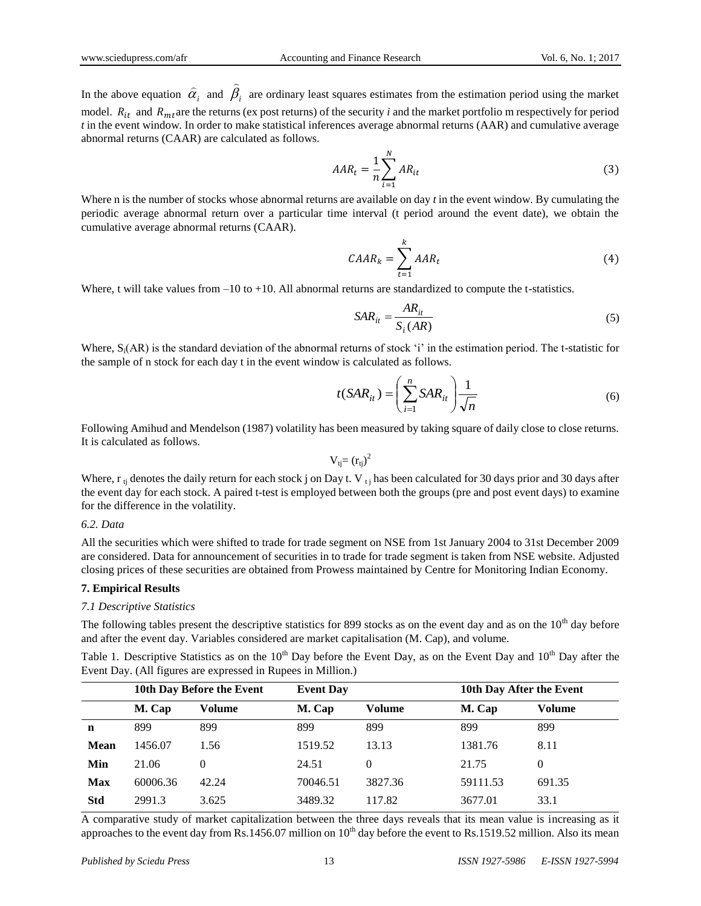In the above equation  $\alpha_i$  $\widehat{\alpha}_i$  and  $\widehat{\beta}_i$  $\overline{a}$ are ordinary least squares estimates from the estimation period using the market model.  $R_{it}$  and  $R_{mt}$  are the returns (ex post returns) of the security *i* and the market portfolio m respectively for period *t* in the event window. In order to make statistical inferences average abnormal returns (AAR) and cumulative average abnormal returns (CAAR) are calculated as follows.

$$
AAR_t = \frac{1}{n} \sum_{i=1}^{N} AR_{it}
$$
\n<sup>(3)</sup>

Where n is the number of stocks whose abnormal returns are available on day *t* in the event window. By cumulating the periodic average abnormal return over a particular time interval (t period around the event date), we obtain the cumulative average abnormal returns (CAAR).

$$
CABA_k = \sum_{t=1}^k AAR_t
$$
 (4)

Where, t will take values from  $-10$  to  $+10$ . All abnormal returns are standardized to compute the t-statistics.

$$
SAR_{it} = \frac{AR_{it}}{S_i(AR)}
$$
 (5)

Where,  $S_i(AR)$  is the standard deviation of the abnormal returns of stock 'i' in the estimation period. The t-statistic for the sample of n stock for each day t in the event window is calculated as follows.

$$
t(SAR_{it}) = \left(\sum_{i=1}^{n} SAR_{it}\right) \frac{1}{\sqrt{n}}\tag{6}
$$

Following Amihud and Mendelson (1987) volatility has been measured by taking square of daily close to close returns. It is calculated as follows.

$$
V_{tj}\!\!=\left(r_{tj}\right)^2
$$

Where,  $r_{ti}$  denotes the daily return for each stock j on Day t. V  $t_{ti}$  has been calculated for 30 days prior and 30 days after the event day for each stock. A paired t-test is employed between both the groups (pre and post event days) to examine for the difference in the volatility.

*6.2. Data*

All the securities which were shifted to trade for trade segment on NSE from 1st January 2004 to 31st December 2009 are considered. Data for announcement of securities in to trade for trade segment is taken from NSE website. Adjusted closing prices of these securities are obtained from Prowess maintained by Centre for Monitoring Indian Economy.

## **7. Empirical Results**

# *7.1 Descriptive Statistics*

The following tables present the descriptive statistics for 899 stocks as on the event day and as on the  $10<sup>th</sup>$  day before and after the event day. Variables considered are market capitalisation (M. Cap), and volume.

Table 1. Descriptive Statistics as on the  $10^{th}$  Day before the Event Day, as on the Event Day and  $10^{th}$  Day after the Event Day. (All figures are expressed in Rupees in Million.)

|             | 10th Day Before the Event |        | <b>Event Day</b> |          |          | 10th Day After the Event |  |
|-------------|---------------------------|--------|------------------|----------|----------|--------------------------|--|
|             | M. Cap                    | Volume | M. Cap           | Volume   | M. Cap   | Volume                   |  |
| n           | 899                       | 899    | 899              | 899      | 899      | 899                      |  |
| <b>Mean</b> | 1456.07                   | 1.56   | 1519.52          | 13.13    | 1381.76  | 8.11                     |  |
| Min         | 21.06                     | 0      | 24.51            | $\theta$ | 21.75    | $\theta$                 |  |
| <b>Max</b>  | 60006.36                  | 42.24  | 70046.51         | 3827.36  | 59111.53 | 691.35                   |  |
| <b>Std</b>  | 2991.3                    | 3.625  | 3489.32          | 117.82   | 3677.01  | 33.1                     |  |

A comparative study of market capitalization between the three days reveals that its mean value is increasing as it approaches to the event day from Rs.1456.07 million on  $10<sup>th</sup>$  day before the event to Rs.1519.52 million. Also its mean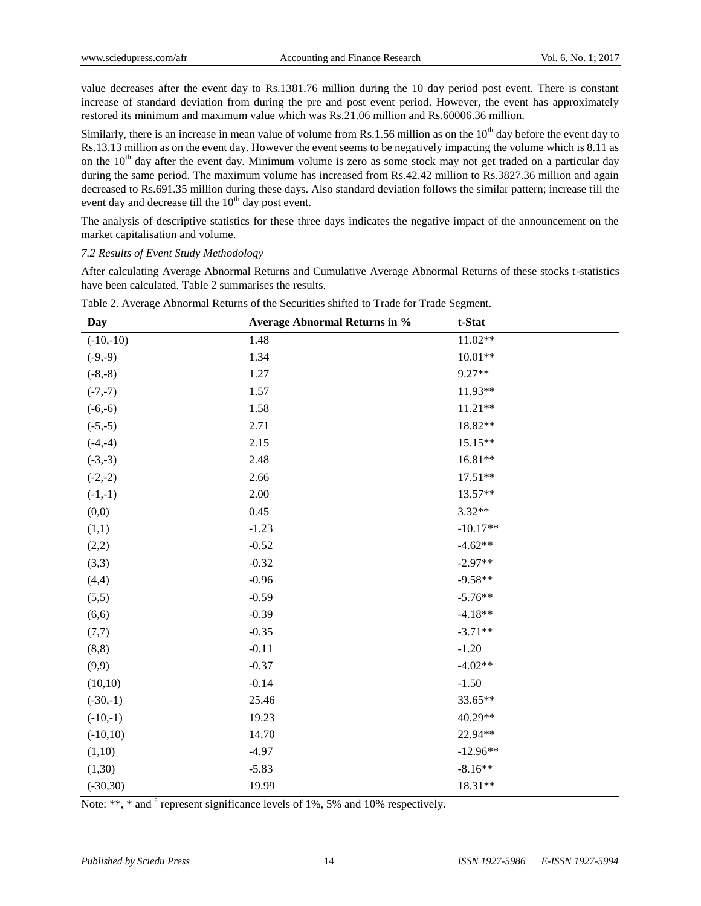value decreases after the event day to Rs.1381.76 million during the 10 day period post event. There is constant increase of standard deviation from during the pre and post event period. However, the event has approximately restored its minimum and maximum value which was Rs.21.06 million and Rs.60006.36 million.

Similarly, there is an increase in mean value of volume from Rs.1.56 million as on the  $10<sup>th</sup>$  day before the event day to Rs.13.13 million as on the event day. However the event seems to be negatively impacting the volume which is 8.11 as on the  $10<sup>th</sup>$  day after the event day. Minimum volume is zero as some stock may not get traded on a particular day during the same period. The maximum volume has increased from Rs.42.42 million to Rs.3827.36 million and again decreased to Rs.691.35 million during these days. Also standard deviation follows the similar pattern; increase till the event day and decrease till the  $10<sup>th</sup>$  day post event.

The analysis of descriptive statistics for these three days indicates the negative impact of the announcement on the market capitalisation and volume.

*7.2 Results of Event Study Methodology*

After calculating Average Abnormal Returns and Cumulative Average Abnormal Returns of these stocks t-statistics have been calculated. Table 2 summarises the results.

| Day         | <b>Average Abnormal Returns in %</b> | t-Stat     |
|-------------|--------------------------------------|------------|
| $(-10,-10)$ | 1.48                                 | $11.02**$  |
| $(-9,-9)$   | 1.34                                 | $10.01**$  |
| $(-8,-8)$   | 1.27                                 | 9.27**     |
| $(-7,-7)$   | 1.57                                 | 11.93**    |
| $(-6,-6)$   | 1.58                                 | 11.21**    |
| $(-5,-5)$   | 2.71                                 | 18.82**    |
| $(-4,-4)$   | 2.15                                 | 15.15**    |
| $(-3,-3)$   | 2.48                                 | 16.81**    |
| $(-2,-2)$   | 2.66                                 | $17.51**$  |
| $(-1,-1)$   | 2.00                                 | 13.57**    |
| (0,0)       | 0.45                                 | $3.32**$   |
| (1,1)       | $-1.23$                              | $-10.17**$ |
| (2,2)       | $-0.52$                              | $-4.62**$  |
| (3,3)       | $-0.32$                              | $-2.97**$  |
| (4,4)       | $-0.96$                              | $-9.58**$  |
| (5,5)       | $-0.59$                              | $-5.76**$  |
| (6,6)       | $-0.39$                              | $-4.18**$  |
| (7,7)       | $-0.35$                              | $-3.71**$  |
| (8, 8)      | $-0.11$                              | $-1.20$    |
| (9,9)       | $-0.37$                              | $-4.02**$  |
| (10,10)     | $-0.14$                              | $-1.50$    |
| $(-30,-1)$  | 25.46                                | 33.65**    |
| $(-10,-1)$  | 19.23                                | 40.29**    |
| $(-10,10)$  | 14.70                                | 22.94**    |
| (1,10)      | $-4.97$                              | $-12.96**$ |
| (1,30)      | $-5.83$                              | $-8.16**$  |
| $(-30,30)$  | 19.99                                | 18.31**    |

Table 2. Average Abnormal Returns of the Securities shifted to Trade for Trade Segment.

Note: \*\*, \* and <sup>a</sup> represent significance levels of 1%, 5% and 10% respectively.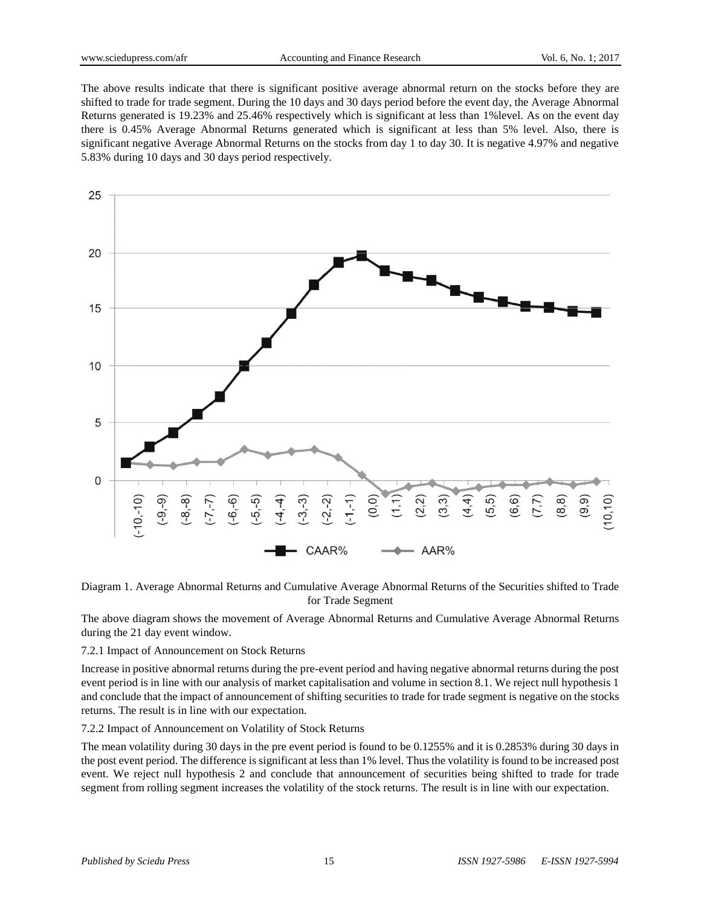The above results indicate that there is significant positive average abnormal return on the stocks before they are shifted to trade for trade segment. During the 10 days and 30 days period before the event day, the Average Abnormal Returns generated is 19.23% and 25.46% respectively which is significant at less than 1%level. As on the event day there is 0.45% Average Abnormal Returns generated which is significant at less than 5% level. Also, there is significant negative Average Abnormal Returns on the stocks from day 1 to day 30. It is negative 4.97% and negative 5.83% during 10 days and 30 days period respectively.



Diagram 1. Average Abnormal Returns and Cumulative Average Abnormal Returns of the Securities shifted to Trade for Trade Segment

The above diagram shows the movement of Average Abnormal Returns and Cumulative Average Abnormal Returns during the 21 day event window.

## 7.2.1 Impact of Announcement on Stock Returns

Increase in positive abnormal returns during the pre-event period and having negative abnormal returns during the post event period is in line with our analysis of market capitalisation and volume in section 8.1. We reject null hypothesis 1 and conclude that the impact of announcement of shifting securities to trade for trade segment is negative on the stocks returns. The result is in line with our expectation.

## 7.2.2 Impact of Announcement on Volatility of Stock Returns

The mean volatility during 30 days in the pre event period is found to be 0.1255% and it is 0.2853% during 30 days in the post event period. The difference is significant at less than 1% level. Thus the volatility is found to be increased post event. We reject null hypothesis 2 and conclude that announcement of securities being shifted to trade for trade segment from rolling segment increases the volatility of the stock returns. The result is in line with our expectation.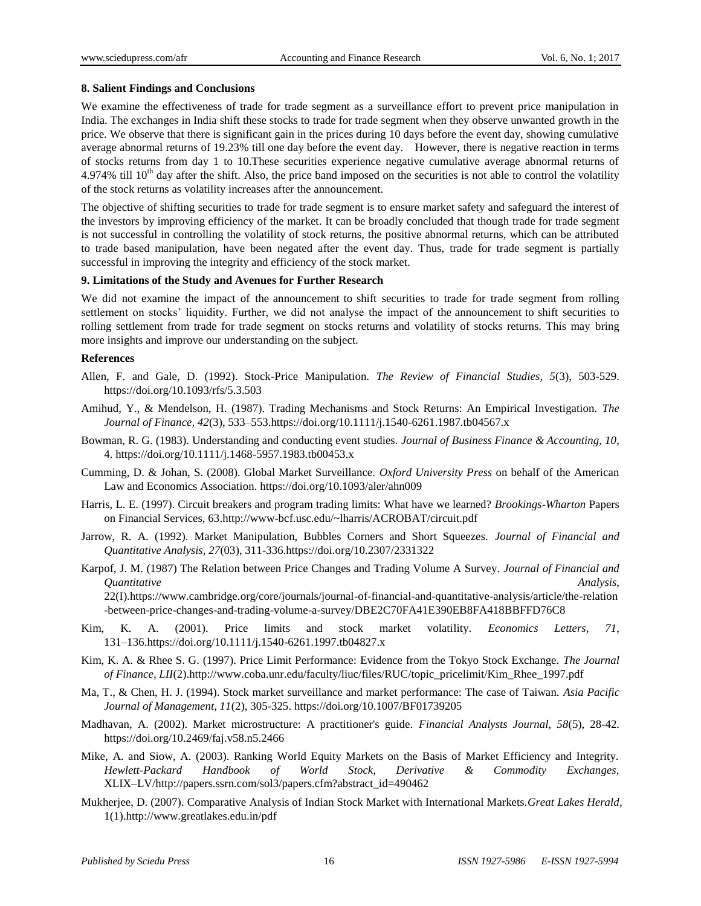## **8. Salient Findings and Conclusions**

We examine the effectiveness of trade for trade segment as a surveillance effort to prevent price manipulation in India. The exchanges in India shift these stocks to trade for trade segment when they observe unwanted growth in the price. We observe that there is significant gain in the prices during 10 days before the event day, showing cumulative average abnormal returns of 19.23% till one day before the event day. However, there is negative reaction in terms of stocks returns from day 1 to 10.These securities experience negative cumulative average abnormal returns of 4.974% till  $10<sup>th</sup>$  day after the shift. Also, the price band imposed on the securities is not able to control the volatility of the stock returns as volatility increases after the announcement.

The objective of shifting securities to trade for trade segment is to ensure market safety and safeguard the interest of the investors by improving efficiency of the market. It can be broadly concluded that though trade for trade segment is not successful in controlling the volatility of stock returns, the positive abnormal returns, which can be attributed to trade based manipulation, have been negated after the event day. Thus, trade for trade segment is partially successful in improving the integrity and efficiency of the stock market.

# **9. Limitations of the Study and Avenues for Further Research**

We did not examine the impact of the announcement to shift securities to trade for trade segment from rolling settlement on stocks' liquidity. Further, we did not analyse the impact of the announcement to shift securities to rolling settlement from trade for trade segment on stocks returns and volatility of stocks returns. This may bring more insights and improve our understanding on the subject.

## **References**

- Allen, F. and Gale, D. (1992). Stock-Price Manipulation. *The Review of Financial Studies, 5*(3), 503-529. <https://doi.org/10.1093/rfs/5.3.503>
- Amihud, Y., & Mendelson, H. (1987). Trading Mechanisms and Stock Returns: An Empirical Investigation. *The Journal of Finance, 42*(3), 533–55[3.https://doi.org/10.1111/j.1540-6261.1987.tb04567.x](https://doi.org/10.1111/j.1540-6261.1987.tb04567.x)
- Bowman, R. G. (1983). Understanding and conducting event studies. *Journal of Business Finance & Accounting, 10*, 4.<https://doi.org/10.1111/j.1468-5957.1983.tb00453.x>
- Cumming, D. & Johan, S. (2008). Global Market Surveillance. *Oxford University Press* on behalf of the American Law and Economics Association.<https://doi.org/10.1093/aler/ahn009>
- Harris, L. E. (1997). Circuit breakers and program trading limits: What have we learned? *Brookings-Wharton* Papers on Financial Services, 63.http://www-bcf.usc.edu/~lharris/ACROBAT/circuit.pdf
- Jarrow, R. A. (1992). Market Manipulation, Bubbles Corners and Short Squeezes. *Journal of Financial and Quantitative Analysis, 27*(03), 311-336[.https://doi.org/10.2307/2331322](https://doi.org/10.2307/2331322)
- Karpof, J. M. (1987) The Relation between Price Changes and Trading Volume A Survey. *Journal of Financial and Quantitative Analysis*,

22(I).https://www.cambridge.org/core/journals/journal-of-financial-and-quantitative-analysis/article/the-relation -between-price-changes-and-trading-volume-a-survey/DBE2C70FA41E390EB8FA418BBFFD76C8

- Kim, K. A. (2001). Price limits and stock market volatility. *Economics Letters, 71*, 131–13[6.https://doi.org/10.1111/j.1540-6261.1997.tb04827.x](https://doi.org/10.1111/j.1540-6261.1997.tb04827.x)
- Kim, K. A. & Rhee S. G. (1997). Price Limit Performance: Evidence from the Tokyo Stock Exchange. *The Journal of Finance, LII*(2).http://www.coba.unr.edu/faculty/liuc/files/RUC/topic\_pricelimit/Kim\_Rhee\_1997.pdf
- Ma, T., & Chen, H. J. (1994). Stock market surveillance and market performance: The case of Taiwan. *Asia Pacific Journal of Management, 11*(2), 305-325.<https://doi.org/10.1007/BF01739205>
- Madhavan, A. (2002). Market microstructure: A practitioner's guide. *Financial Analysts Journal, 58*(5), 28-42. <https://doi.org/10.2469/faj.v58.n5.2466>
- Mike, A. and Siow, A. (2003). Ranking World Equity Markets on the Basis of Market Efficiency and Integrity. *Hewlett-Packard Handbook of World Stock, Derivative & Commodity Exchanges,* XLIX–LV/http://papers.ssrn.com/sol3/papers.cfm?abstract\_id=490462
- Mukherjee, D. (2007). Comparative Analysis of Indian Stock Market with International Markets.*Great Lakes Herald,* 1(1)[.http://www.greatlakes.edu.in/pdf](http://www.greatlakes.edu.in/pdf)